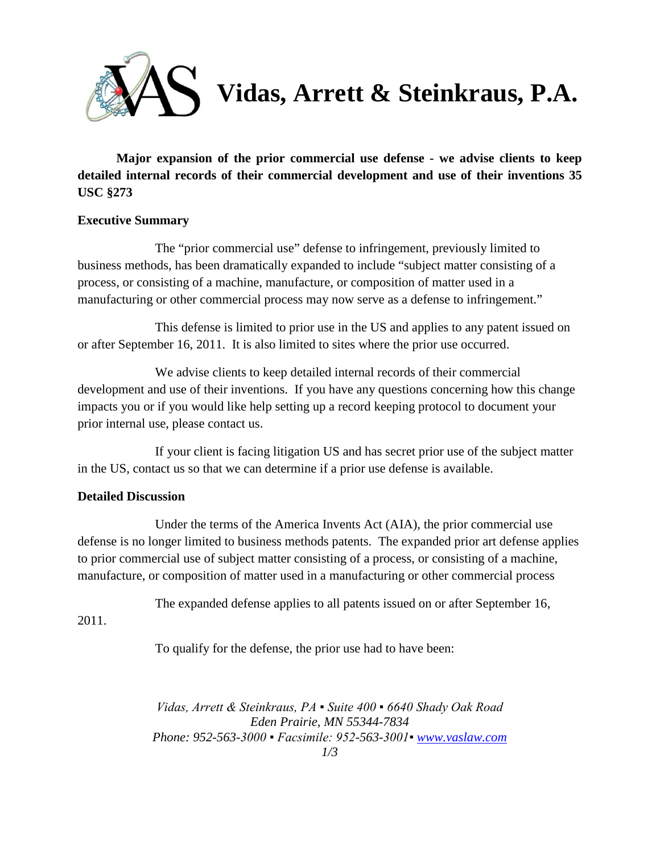

**Major expansion of the prior commercial use defense - we advise clients to keep detailed internal records of their commercial development and use of their inventions 35 USC §273**

## **Executive Summary**

The "prior commercial use" defense to infringement, previously limited to business methods, has been dramatically expanded to include "subject matter consisting of a process, or consisting of a machine, manufacture, or composition of matter used in a manufacturing or other commercial process may now serve as a defense to infringement."

This defense is limited to prior use in the US and applies to any patent issued on or after September 16, 2011. It is also limited to sites where the prior use occurred.

We advise clients to keep detailed internal records of their commercial development and use of their inventions. If you have any questions concerning how this change impacts you or if you would like help setting up a record keeping protocol to document your prior internal use, please contact us.

If your client is facing litigation US and has secret prior use of the subject matter in the US, contact us so that we can determine if a prior use defense is available.

## **Detailed Discussion**

Under the terms of the America Invents Act (AIA), the prior commercial use defense is no longer limited to business methods patents. The expanded prior art defense applies to prior commercial use of subject matter consisting of a process, or consisting of a machine, manufacture, or composition of matter used in a manufacturing or other commercial process

The expanded defense applies to all patents issued on or after September 16,

2011.

To qualify for the defense, the prior use had to have been:

*Vidas, Arrett & Steinkraus, PA ▪ Suite 400 ▪ 6640 Shady Oak Road Eden Prairie, MN 55344-7834 Phone: 952-563-3000 ▪ Facsimile: 952-563-3001▪ [www.vaslaw.com](http://www.vaslaw.com/) 1/3*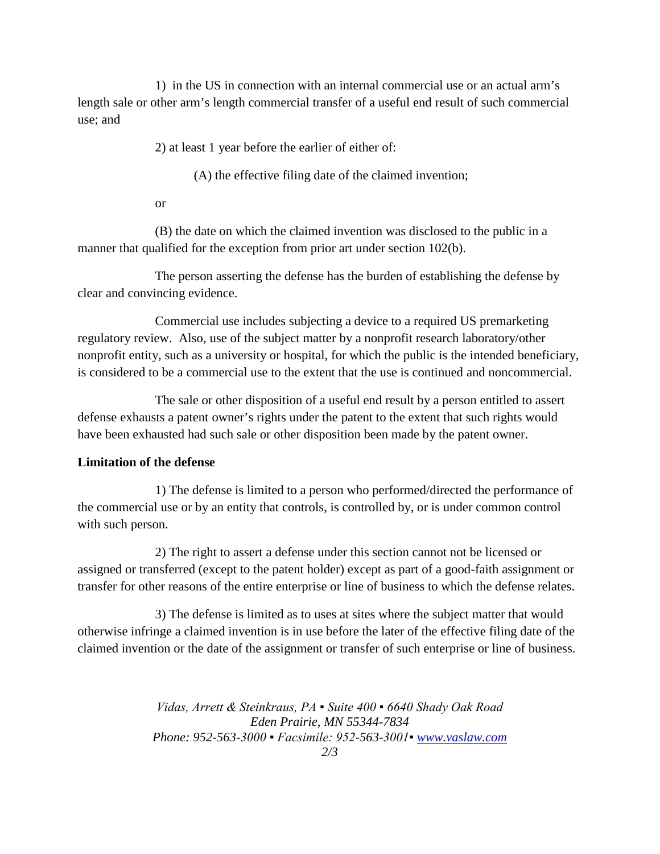1) in the US in connection with an internal commercial use or an actual arm's length sale or other arm's length commercial transfer of a useful end result of such commercial use; and

2) at least 1 year before the earlier of either of:

(A) the effective filing date of the claimed invention;

or

(B) the date on which the claimed invention was disclosed to the public in a manner that qualified for the exception from prior art under section 102(b).

The person asserting the defense has the burden of establishing the defense by clear and convincing evidence.

Commercial use includes subjecting a device to a required US premarketing regulatory review. Also, use of the subject matter by a nonprofit research laboratory/other nonprofit entity, such as a university or hospital, for which the public is the intended beneficiary, is considered to be a commercial use to the extent that the use is continued and noncommercial.

The sale or other disposition of a useful end result by a person entitled to assert defense exhausts a patent owner's rights under the patent to the extent that such rights would have been exhausted had such sale or other disposition been made by the patent owner.

## **Limitation of the defense**

1) The defense is limited to a person who performed/directed the performance of the commercial use or by an entity that controls, is controlled by, or is under common control with such person.

2) The right to assert a defense under this section cannot not be licensed or assigned or transferred (except to the patent holder) except as part of a good-faith assignment or transfer for other reasons of the entire enterprise or line of business to which the defense relates.

3) The defense is limited as to uses at sites where the subject matter that would otherwise infringe a claimed invention is in use before the later of the effective filing date of the claimed invention or the date of the assignment or transfer of such enterprise or line of business.

> *Vidas, Arrett & Steinkraus, PA ▪ Suite 400 ▪ 6640 Shady Oak Road Eden Prairie, MN 55344-7834 Phone: 952-563-3000 ▪ Facsimile: 952-563-3001▪ [www.vaslaw.com](http://www.vaslaw.com/)*